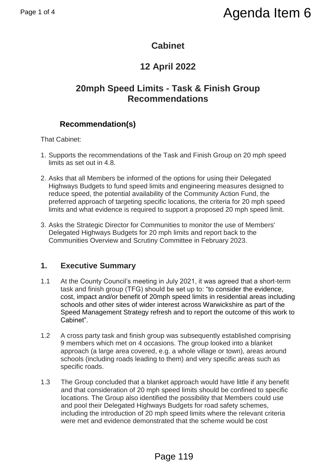## **Cabinet**

# **12 April 2022**

## **20mph Speed Limits - Task & Finish Group Recommendations**

## **Recommendation(s)**

That Cabinet:

- 1. Supports the recommendations of the Task and Finish Group on 20 mph speed limits as set out in 4.8.
- 2. Asks that all Members be informed of the options for using their Delegated Highways Budgets to fund speed limits and engineering measures designed to reduce speed, the potential availability of the Community Action Fund, the preferred approach of targeting specific locations, the criteria for 20 mph speed limits and what evidence is required to support a proposed 20 mph speed limit.
- 3. Asks the Strategic Director for Communities to monitor the use of Members' Delegated Highways Budgets for 20 mph limits and report back to the Communities Overview and Scrutiny Committee in February 2023.

### **1. Executive Summary**

- 1.1 At the County Council's meeting in July 2021, it was agreed that a short-term task and finish group (TFG) should be set up to: "to consider the evidence, cost, impact and/or benefit of 20mph speed limits in residential areas including schools and other sites of wider interest across Warwickshire as part of the Speed Management Strategy refresh and to report the outcome of this work to Cabinet". Page 1 of 4<br>
20 Cabinet<br>
20 Cabinet<br>
20 Cabinet<br>
20 Cabinet<br>
20 Cabinet<br>
20 Cabinet<br>
20 Cabinet<br>
20 Cabinet<br>
20 Cabinet<br>
20 Recommendations<br>
20 Recommendations<br>
20 Recommendations<br>
20 Recommendations<br>
20 Recommendations of
	- 1.2 A cross party task and finish group was subsequently established comprising 9 members which met on 4 occasions. The group looked into a blanket approach (a large area covered, e.g. a whole village or town), areas around schools (including roads leading to them) and very specific areas such as specific roads.
	- 1.3 The Group concluded that a blanket approach would have little if any benefit and that consideration of 20 mph speed limits should be confined to specific locations. The Group also identified the possibility that Members could use and pool their Delegated Highways Budgets for road safety schemes, including the introduction of 20 mph speed limits where the relevant criteria were met and evidence demonstrated that the scheme would be cost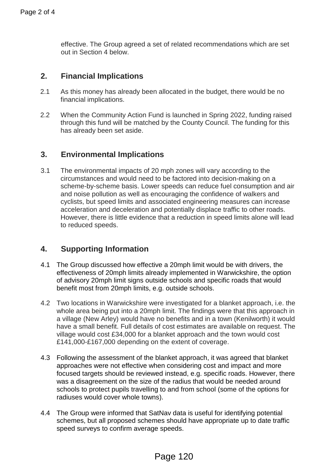effective. The Group agreed a set of related recommendations which are set out in Section 4 below.

#### **2. Financial Implications**

- 2.1 As this money has already been allocated in the budget, there would be no financial implications.
- 2.2 When the Community Action Fund is launched in Spring 2022, funding raised through this fund will be matched by the County Council. The funding for this has already been set aside.

#### **3. Environmental Implications**

3.1 The environmental impacts of 20 mph zones will vary according to the circumstances and would need to be factored into decision-making on a scheme-by-scheme basis. Lower speeds can reduce fuel consumption and air and noise pollution as well as encouraging the confidence of walkers and cyclists, but speed limits and associated engineering measures can increase acceleration and deceleration and potentially displace traffic to other roads. However, there is little evidence that a reduction in speed limits alone will lead to reduced speeds. Page 2 of 4<br>
effective. The Group agreed a set of related<br>
out in Section 4 below.<br>
2.<br>
2. Financial Implications<br>
2.<br>
2. When the Community Action Fund is launch<br>
through this fund will be matched by the Course<br>
through t

#### **4. Supporting Information**

- 4.1 The Group discussed how effective a 20mph limit would be with drivers, the effectiveness of 20mph limits already implemented in Warwickshire, the option of advisory 20mph limit signs outside schools and specific roads that would benefit most from 20mph limits, e.g. outside schools.
- 4.2 Two locations in Warwickshire were investigated for a blanket approach, i.e. the whole area being put into a 20mph limit. The findings were that this approach in a village (New Arley) would have no benefits and in a town (Kenilworth) it would have a small benefit. Full details of cost estimates are available on request. The village would cost £34,000 for a blanket approach and the town would cost £141,000-£167,000 depending on the extent of coverage.
- 4.3 Following the assessment of the blanket approach, it was agreed that blanket approaches were not effective when considering cost and impact and more focused targets should be reviewed instead, e.g. specific roads. However, there was a disagreement on the size of the radius that would be needed around schools to protect pupils travelling to and from school (some of the options for radiuses would cover whole towns).
- 4.4 The Group were informed that SatNav data is useful for identifying potential schemes, but all proposed schemes should have appropriate up to date traffic speed surveys to confirm average speeds.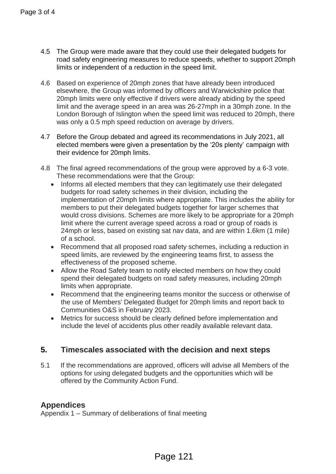- 4.5 The Group were made aware that they could use their delegated budgets for road safety engineering measures to reduce speeds, whether to support 20mph limits or independent of a reduction in the speed limit.
- 4.6 Based on experience of 20mph zones that have already been introduced elsewhere, the Group was informed by officers and Warwickshire police that 20mph limits were only effective if drivers were already abiding by the speed limit and the average speed in an area was 26-27mph in a 30mph zone. In the London Borough of Islington when the speed limit was reduced to 20mph, there was only a 0.5 mph speed reduction on average by drivers.
- 4.7 Before the Group debated and agreed its recommendations in July 2021, all elected members were given a presentation by the '20s plenty' campaign with their evidence for 20mph limits.
- 4.8 The final agreed recommendations of the group were approved by a 6-3 vote. These recommendations were that the Group:
- Informs all elected members that they can legitimately use their delegated budgets for road safety schemes in their division, including the implementation of 20mph limits where appropriate. This includes the ability for members to put their delegated budgets together for larger schemes that would cross divisions. Schemes are more likely to be appropriate for a 20mph limit where the current average speed across a road or group of roads is 24mph or less, based on existing sat nav data, and are within 1.6km (1 mile) of a school. Page 3 of 4<br>
14.5 The Group were made aware that they could<br>
road safely engineering measures to reduce<br>
timits or independent of a reduction in the specified<br>
4.6 Based on experience of 20mph zones that ha<br>
elsewhere, the
	- Recommend that all proposed road safety schemes, including a reduction in speed limits, are reviewed by the engineering teams first, to assess the effectiveness of the proposed scheme.
	- Allow the Road Safety team to notify elected members on how they could spend their delegated budgets on road safety measures, including 20mph limits when appropriate.
	- Recommend that the engineering teams monitor the success or otherwise of the use of Members' Delegated Budget for 20mph limits and report back to Communities O&S in February 2023.
	- Metrics for success should be clearly defined before implementation and include the level of accidents plus other readily available relevant data.

#### **5. Timescales associated with the decision and next steps**

5.1 If the recommendations are approved, officers will advise all Members of the options for using delegated budgets and the opportunities which will be offered by the Community Action Fund.

#### **Appendices**

Appendix 1 – Summary of deliberations of final meeting